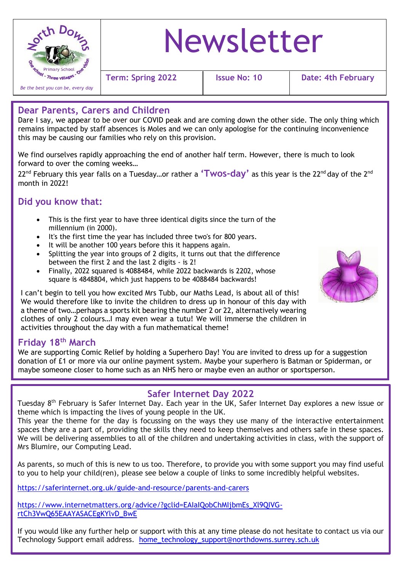

# Newsletter

**Term: Spring 2022 Issue No: 10 Date: 4th February**

#### **Dear Parents, Carers and Children**

Dare I say, we appear to be over our COVID peak and are coming down the other side. The only thing which remains impacted by staff absences is Moles and we can only apologise for the continuing inconvenience this may be causing our families who rely on this provision.

We find ourselves rapidly approaching the end of another half term. However, there is much to look forward to over the coming weeks…

22nd February this year falls on a Tuesday…or rather a **'Twos-day'** as this year is the 22nd day of the 2nd month in 20221

## **Did you know that:**

- This is the first year to have three identical digits since the turn of the millennium (in 2000).
- It's the first time the year has included three two's for 800 years.
- It will be another 100 years before this it happens again.
- Splitting the year into groups of 2 digits, it turns out that the difference between the first 2 and the last 2 digits - is 2!
- Finally, 2022 squared is 4088484, while 2022 backwards is 2202, whose square is 4848804, which just happens to be 4088484 backwards!



I can't begin to tell you how excited Mrs Tubb, our Maths Lead, is about all of this! We would therefore like to invite the children to dress up in honour of this day with a theme of two…perhaps a sports kit bearing the number 2 or 22, alternatively wearing clothes of only 2 colours…I may even wear a tutu! We will immerse the children in activities throughout the day with a fun mathematical theme!

## **Friday 18th March**

We are supporting Comic Relief by holding a Superhero Day! You are invited to dress up for a suggestion donation of £1 or more via our online payment system. Maybe your superhero is Batman or Spiderman, or maybe someone closer to home such as an NHS hero or maybe even an author or sportsperson.

## **Safer Internet Day 2022**

Tuesday 8<sup>th</sup> February is Safer Internet Day. Each year in the UK, Safer Internet Day explores a new issue or theme which is impacting the lives of young people in the UK.

 This year the theme for the day is focussing on the ways they use many of the interactive entertainment spaces they are a part of, providing the skills they need to keep themselves and others safe in these spaces. We will be delivering assemblies to all of the children and undertaking activities in class, with the support of Mrs Blumire, our Computing Lead.

As parents, so much of this is new to us too. Therefore, to provide you with some support you may find useful to you to help your child(ren), please see below a couple of links to some incredibly helpful websites.

<https://saferinternet.org.uk/guide-and-resource/parents-and-carers>

[https://www.internetmatters.org/advice/?gclid=EAIaIQobChMIjbmEs\\_Xl9QIVG](https://www.internetmatters.org/advice/?gclid=EAIaIQobChMIjbmEs_Xl9QIVG-rtCh3VwQ65EAAYASACEgKYlvD_BwE)[rtCh3VwQ65EAAYASACEgKYlvD\\_BwE](https://www.internetmatters.org/advice/?gclid=EAIaIQobChMIjbmEs_Xl9QIVG-rtCh3VwQ65EAAYASACEgKYlvD_BwE)

If you would like any further help or support with this at any time please do not hesitate to contact us via our Technology Support email address. [home\\_technology\\_support@northdowns.surrey.sch.uk](mailto:home_technology_support@northdowns.surrey.sch.uk)